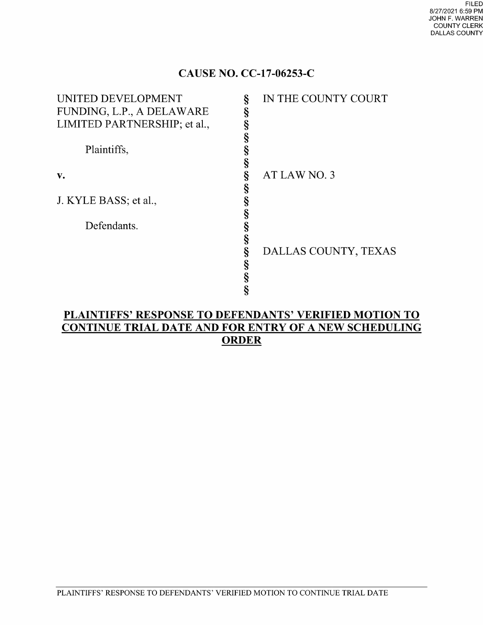### CAUSE NO. CC-17-06253-C

| UNITED DEVELOPMENT           |   | IN THE COUNTY COURT  |
|------------------------------|---|----------------------|
| FUNDING, L.P., A DELAWARE    | § |                      |
| LIMITED PARTNERSHIP; et al., |   |                      |
|                              |   |                      |
| Plaintiffs,                  |   |                      |
|                              |   |                      |
| v.                           |   | AT LAW NO. 3         |
|                              |   |                      |
| J. KYLE BASS; et al.,        |   |                      |
|                              |   |                      |
| Defendants.                  |   |                      |
|                              |   |                      |
|                              |   | DALLAS COUNTY, TEXAS |
|                              |   |                      |
|                              |   |                      |
|                              |   |                      |
|                              |   |                      |

## PLAINTIFFS' RESPONSE To DEFENDANTS' VERIFIED MOTION TO CONTINUE TRIAL DATE AND FOR ENTRY OF A NEW SCHEDULING<br>ORDER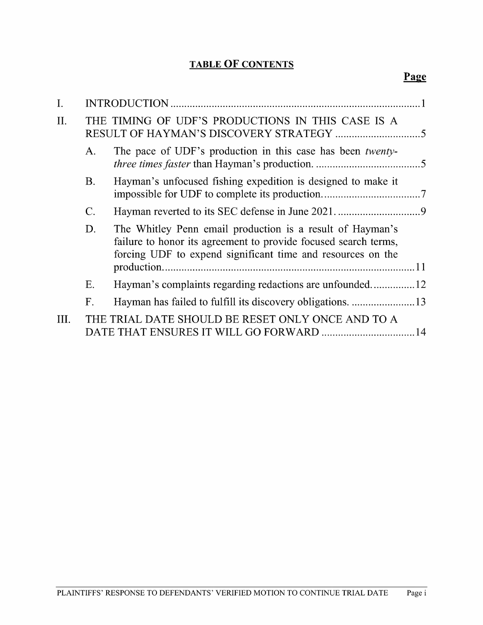#### TABLE OF CONTENTS

| I.   |                |                                                                                                                                                                                             |
|------|----------------|---------------------------------------------------------------------------------------------------------------------------------------------------------------------------------------------|
| II.  |                | THE TIMING OF UDF'S PRODUCTIONS IN THIS CASE IS A                                                                                                                                           |
|      | $A_{\cdot}$    | The pace of UDF's production in this case has been twenty-                                                                                                                                  |
|      | <b>B.</b>      | Hayman's unfocused fishing expedition is designed to make it                                                                                                                                |
|      | $\mathbf{C}$ . |                                                                                                                                                                                             |
|      | D.             | The Whitley Penn email production is a result of Hayman's<br>failure to honor its agreement to provide focused search terms,<br>forcing UDF to expend significant time and resources on the |
|      | Ε.             |                                                                                                                                                                                             |
|      | F.             |                                                                                                                                                                                             |
| III. |                | THE TRIAL DATE SHOULD BE RESET ONLY ONCE AND TO A                                                                                                                                           |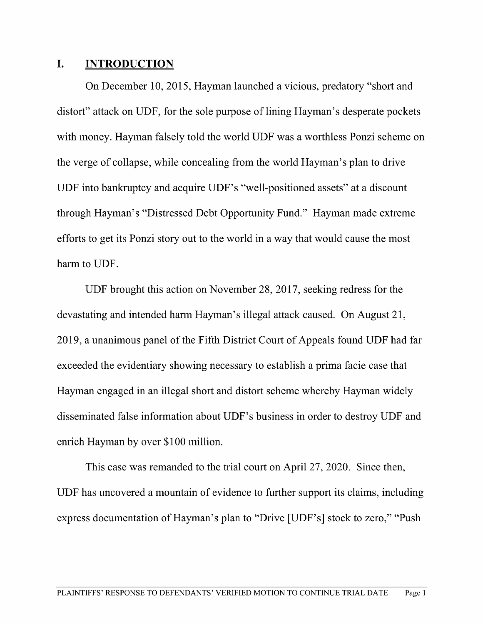#### I. INTRODUCTION

On December 10, 2015, Hayman launched a vicious, predatory "short and distort" attack on UDF, for the sole purpose of lining Hayman's desperate pockets with money. Hayman falsely told the world UDF was a worthless Ponzi scheme on the verge of collapse, while concealing from the world Hayman's plan to drive UDF into bankruptcy and acquire UDF's "well-positioned assets" at a discount through Hayman's "Distressed Debt Opportunity Fund." Hayman made extreme efforts to get its Ponzi story out to the world in a way that would cause the most harm to UDF.

UDF brought this action on November 28, 2017, seeking redress for the devastating and intended harm Hayman's illegal attack caused. On August 21, 2019, a unanimous panel of the Fifth District Court of Appeals found UDF had far exceeded the evidentiary showing necessary to establish a prima facie case that Hayman engaged in an illegal short and distort scheme whereby Hayman widely disseminated false information about UDF's business in order to destroy UDF and enrich Hayman by over \$100 million.

This case was remanded to the trial court on April 27, 2020. Since then, UDF has uncovered a mountain of evidence to further support its claims, including express documentation of Hayman's plan to "Drive [UDF's] stock to zero," "Push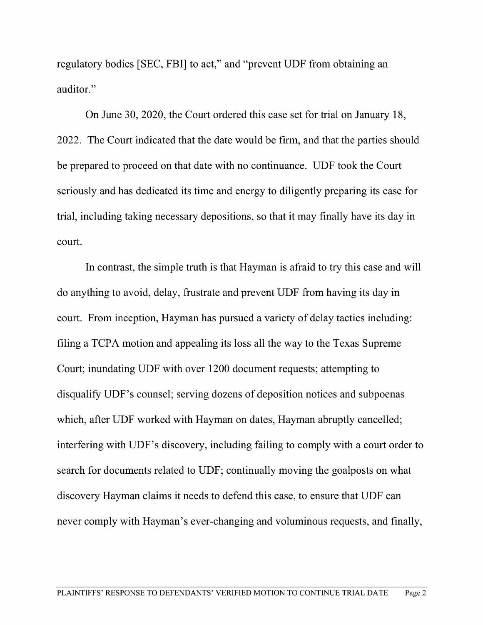regulatory bodies [SEC, FBI] to act," and "prevent UDF from obtaining an auditor."

On June 30, 2020, the Court ordered this case set for trial on January 18, 2022. The Court indicated that the date would be firm, and that the parties should be prepared to proceed on that date With no continuance. UDF took the Court seriously and has dedicated its time and energy to diligently preparing its case for trial, including taking necessary depositions, so that it may finally have its day in court.

In contrast, the simple truth is that Hayman is afraid to try this case and Will do anything to avoid, delay, frustrate and prevent UDF from having its day in court. From inception, Hayman has pursued a variety of delay tactics including: filing a TCPA motion and appealing its loss all the way to the Texas Supreme Court; inundating UDF with over <sup>1200</sup> document requests; attempting to disqualify UDF's counsel; serving dozens of deposition notices and subpoenas which, after UDF worked with Hayman on dates, Hayman abruptly cancelled; interfering with UDF's discovery, including failing to comply with a court order to search for documents related to UDF; continually moving the goalposts on What discovery Hayman claims it needs to defend this case, to ensure that UDF can never comply with Hayman's ever-changing and voluminous requests, and finally,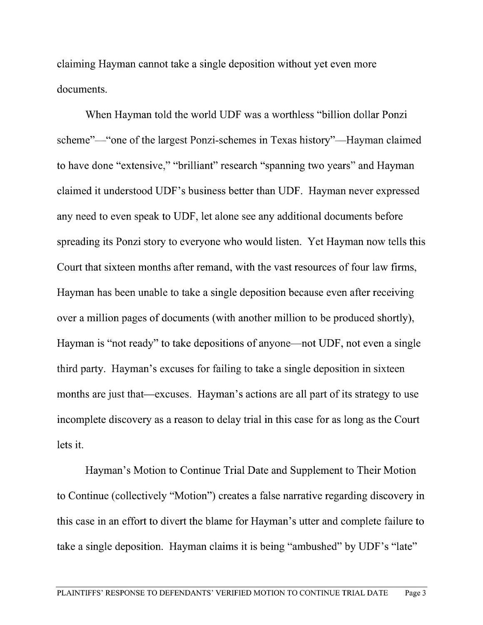claiming Hayman cannot take a single deposition without yet even more documents.

When Hayman told the world UDF was a worthless "billion dollar Ponzi scheme"—"one of the largest Ponzi-schemes in Texas history"—Hayman claimed to have done "extensive," "brilliant" research "spanning two years" and Hayman claimed it understood UDF's business better than UDF. Hayman never expressed any need to even speak to UDF, let alone see any additional documents before spreading its Ponzi story to everyone who would listen. Yet Hayman now tells this Court that sixteen months after remand, with the vast resources of four law firms, Hayman has been unable to take a single deposition because even after receiving over a million pages of documents (with another million to be produced shortly), Hayman is "not ready" to take depositions of anyone—not UDF, not even a single third party. Hayman's excuses for failing to take a single deposition in sixteen months are just that—excuses. Hayman's actions are all part of its strategy to use incomplete discovery as a reason to delay trial in this case for as long as the Court lets it.

Hayman's Motion to Continue Trial Date and Supplement to Their Motion to Continue (collectively "Motion") creates a false narrative regarding discovery in this case in an effort to divert the blame for Hayman's utter and complete failure to take a single deposition. Hayman claims it is being "ambushed" by UDF's "late"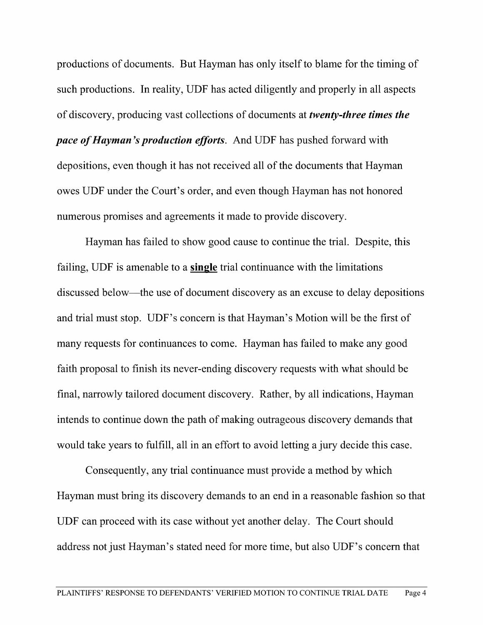productions of documents. But Hayman has only itself to blame for the timing of such productions. In reality, UDF has acted diligently and properly in all aspects of discovery, producing vast collections of documents at twenty-three times the pace of Hayman's production efforts. And UDF has pushed forward with depositions, even though it has not received all of the documents that Hayman owes UDF under the Court's order, and even though Hayman has not honored numerous promises and agreements it made to provide discovery.

Hayman has failed to show good cause to continue the trial. Despite, this failing, UDF is amenable to a single trial continuance with the limitations discussed below—the use of document discovery as an excuse to delay depositions and trial must stop. UDF's concern is that Hayman's Motion will be the first of many requests for continuances to come. Hayman has failed to make any good faith proposal to finish its never-ending discovery requests with what should be final, narrowly tailored document discovery. Rather, by all indications, Hayman intends to continue down the path of making outrageous discovery demands that would take years to fulfill, all in an effort to avoid letting a jury decide this case.

Consequently, any trial continuance must provide a method by which Hayman must bring its discovery demands to an end in a reasonable fashion so that UDF can proceed with its case without yet another delay. The Court should address not just Hayman's stated need for more time, but also UDF's concern that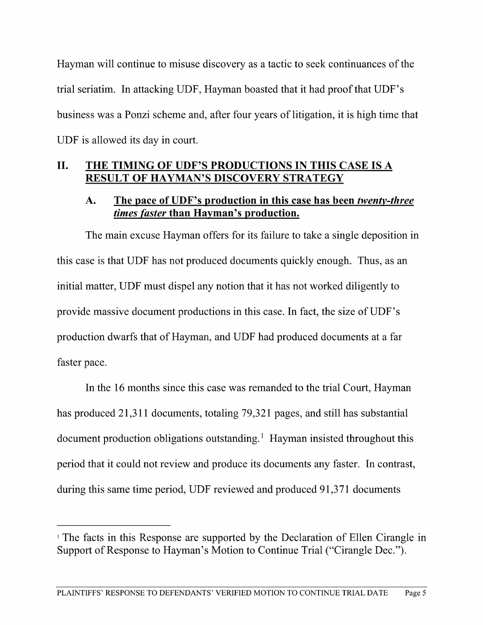Hayman will continue to misuse discovery as tactic to seek continuances of the trial seriatim. In attacking UDF, Hayman boasted that it had proof that UDF's business was a Ponzi scheme and, after four years of litigation, it is high time that UDF is allowed its day in court.

# II. THE TIMING OF UDF'S PRODUCTIONS IN THIS CASE IS A RESULT OF HAYMAN'S DISCOVERY STRATEGY

### A. The pace of UDF's production in this case has been *twenty-three* times faster than Havman's production.

The main excuse Hayman offers for its failure to take a single deposition in this case is that UDF has not produced documents quickly enough. Thus, as an initial matter, UDF must dispel any notion that it has not worked diligently to provide massive document productions in this case. In fact, the size ofUDF's production dwarfs that of Hayman, and UDF had produced documents at a far faster pace.

In the 16 months since this case was remanded to the trial Court, Hayman has produced 21,311 documents, totaling 79,321 pages, and still has substantial document production obligations outstanding.<sup>1</sup> Hayman insisted throughout this period that it could not review and produce its documents any faster. In contrast, during this same time period, UDF reviewed and produced 91,371 documents

<sup>&</sup>lt;sup>1</sup> The facts in this Response are supported by the Declaration of Ellen Cirangle in Support of Response to Hayman's Motion to Continue Trial ("Cirangle Dec.").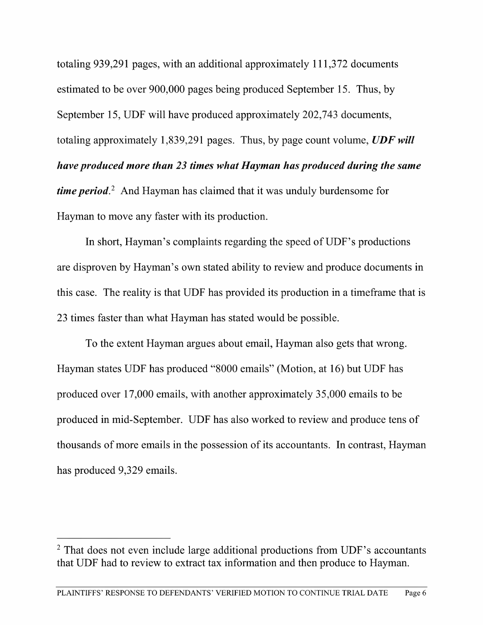totaling 939,291 pages, with an additional approximately 111,372 documents estimated to be over 900,000 pages being produced September 15. Thus, by September 15, UDF will have produced approximately 202,743 documents, totaling approximately 1,839,291 pages. Thus, by page count volume,  $UDF$  will have produced more than 23 times what Hayman has produced during the same *time period.*<sup>2</sup> And Hayman has claimed that it was unduly burdensome for Hayman to move any faster with its production.

In short, Hayman's complaints regarding the speed of UDF's productions are disproven by Hayman's own stated ability to review and produce documents in this case. The reality is that UDF has provided its production in a timeframe that is 23 times faster than what Hayman has stated would be possible.

To the extent Hayman argues about email, Hayman also gets that wrong. Hayman states UDF has produced "8000 emails" (Motion, at 16) but UDF has produced over 17,000 emails, with another approximately 35,000 emails to be produced in mid-September. UDF has also worked to review and produce tens of thousands of more emails in the possession of its accountants. In contrast, Hayman has produced 9,329 emails.

That does not even include large additional productions from UDF's accountants that UDF had to review to extract tax information and then produce to Hayman.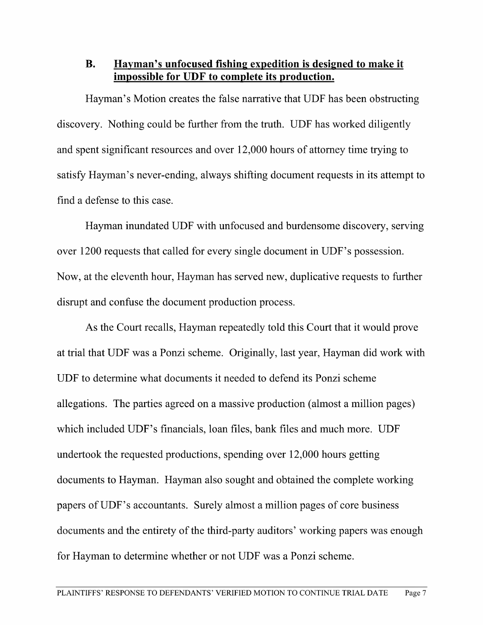#### B. Havman's unfocused fishing expedition is designed to make it impossible for UDF to complete its production.

Hayman's Motion creates the false narrative that UDF has been obstructing discovery. Nothing could be further from the truth. UDF has worked diligently and spent significant resources and over 12,000 hours of attorney time trying to satisfy Hayman's never-ending, always shifting document requests in its attempt to find defense to this case.

Hayman inundated UDF With unfocused and burdensome discovery, serving over 1200 requests that called for every single document in UDF's possession. Now, at the eleventh hour, Hayman has served new, duplicative requests to further disrupt and confuse the document production process.

As the Court recalls, Hayman repeatedly told this Court that it would prove at trial that UDF was a Ponzi scheme. Originally, last year, Hayman did work with UDF to determine what documents it needed to defend its Ponzi scheme allegations. The parties agreed on a massive production (almost a million pages) which included UDF's financials, loan files, bank files and much more. UDF undertook the requested productions, spending over 12,000 hours getting documents to Hayman. Hayman also sought and obtained the complete working papers of UDF's accountants. Surely almost a million pages of core business documents and the entirety of the third-party auditors' working papers was enough for Hayman to determine whether or not UDF was a Ponzi scheme.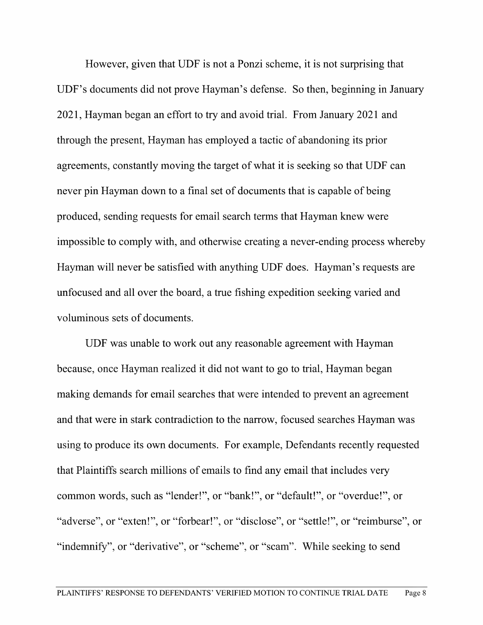However, given that UDF is not a Ponzi scheme, it is not surprising that UDF's documents did not prove Hayman's defense. So then, beginning in January 2021, Hayman began an effort to try and avoid trial. From January 2021 and through the present, Hayman has employed a tactic of abandoning its prior agreements, constantly moving the target of What it is seeking so that UDF can never pin Hayman down to a final set of documents that is capable of being produced, sending requests for email search terms that Hayman knew were impossible to comply with, and otherwise creating a never-ending process whereby Hayman will never be satisfied with anything UDF does. Hayman's requests are unfocused and all over the board, a true fishing expedition seeking varied and voluminous sets of documents.

UDF was unable to work out any reasonable agreement with Hayman because, once Hayman realized it did not want to go to trial, Hayman began making demands for email searches that were intended to prevent an agreement and that were in stark contradiction to the narrow, focused searches Hayman was using to produce its own documents. For example, Defendants recently requested that Plaintiffs search millions of emails to find any email that includes very common words, such as "lender!", or "bank!", or "default!", or "overdue!", or "adverse", or "extenl", or "forbear!", or "disclose", or "settlel", or "reimburse", or "indemnify", or "derivative", or "scheme", or "scam". While seeking to send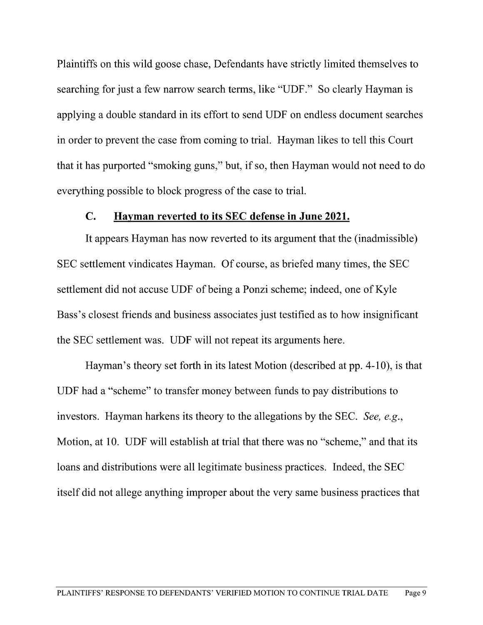Plaintiffs on this wild goose chase, Defendants have strictly limited themselves to searching for just a few narrow search terms, like "UDF." So clearly Hayman is applying a double standard in its effort to send UDF on endless document searches in order to prevent the case from coming to trial. Hayman likes to tell this Court that it has purported "smoking guns," but, if so, then Hayman would not need to do everything possible to block progress of the case to trial.

#### C. Hayman reverted to its SEC defense in June 2021.

It appears Hayman has now reverted to its argument that the (inadmissible) SEC settlement Vindicates Hayman. Of course, as briefed many times, the SEC settlement did not accuse UDF of being a Ponzi scheme; indeed, one of Kyle Bass's closest friends and business associates just testified as to how insignificant the SEC settlement was. UDF will not repeat its arguments here.

Hayman's theory set forth in its latest Motion (described at pp. 4-10), is that UDF had "scheme" to transfer money between funds to pay distributions to investors. Hayman harkens its theory to the allegations by the SEC. See, e.g., Motion, at 10. UDF will establish at trial that there was no "scheme," and that its loans and distributions were all legitimate business practices. Indeed, the SEC itself did not allege anything improper about the very same business practices that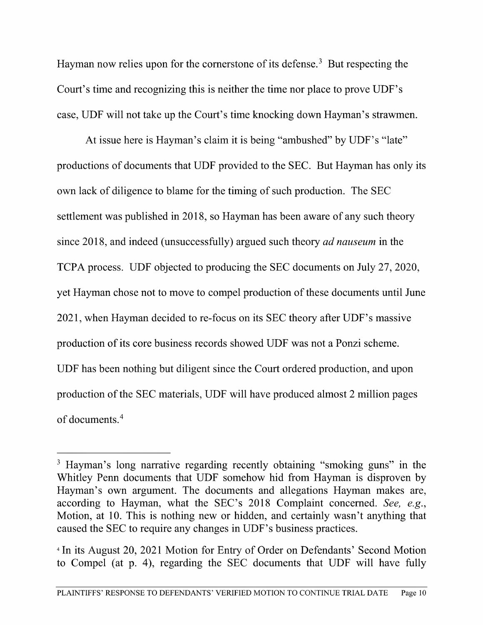Hayman now relies upon for the cornerstone of its defense.<sup>3</sup> But respecting the Court's time and recognizing this is neither the time nor place to prove UDF's case, UDF will not take up the Court's time knocking down Hayman's strawmen.

At issue here is Hayman's claim it is being "ambushed" by UDF's "late" productions of documents that UDF provided to the SEC. But Hayman has only its own lack of diligence to blame for the timing of such production. The SEC settlement was published in 2018, so Hayman has been aware of any such theory since 2018, and indeed (unsuccessfully) argued such theory ad nauseum in the TCPA process. UDF objected to producing the SEC documents on July 27, 2020, yet Hayman chose not to move to compel production of these documents until June <sup>2021</sup> when Hayman decided to re-focus on its SEC theory after UDF's massive production of its core business records showed UDF was not a Ponzi scheme. UDF has been nothing but diligent since the Court ordered production, and upon production of the SEC materials, UDF will have produced almost 2 million pages of documents.4

Hayman's long narrative regarding recently obtaining "smoking guns" in the Whitley Penn documents that UDF somehow hid from Hayman is disproven by Hayman's own argument. The documents and allegations Hayman makes are, according to Hayman, what the SEC's <sup>2018</sup> Complaint concerned. See, e.g., Motion, at 10. This is nothing new or hidden, and certainly wasn't anything that caused the SEC to require any changes in UDF's business practices.

<sup>&</sup>lt;sup>4</sup> In its August 20, 2021 Motion for Entry of Order on Defendants' Second Motion to Compel (at p. 4), regarding the SEC documents that UDF will have fully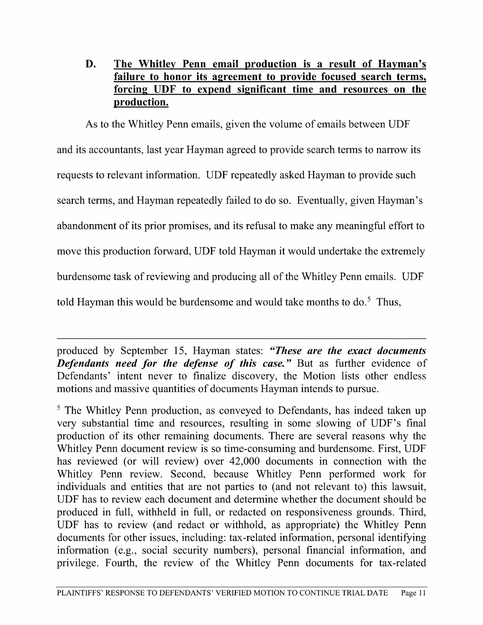### D. The Whitley Penn email production is a result of Hayman's <u>failure to honor its agreement to provide focused search terms,</u> forcing UDF to expend significant time and resources on the production.

As to the Whitley Penn emails, given the volume of emails between UDF and its accountants, last year Hayman agreed to provide search terms to narrow its requests to relevant information. UDF repeatedly asked Hayman to provide such search terms, and Hayman repeatedly failed to do so. Eventually, given Hayman's abandonment of its prior promises, and its refusal to make any meaningful effort to move this production forward, UDF told Hayman it would undertake the extremely burdensome task of reviewing and producing all of the Whitley Penn emails. UDF told Hayman this would be burdensome and would take months to  $\delta$ . Thus,

produced by September 15, Hayman states: "These are the exact documents **Defendants need for the defense of this case."** But as further evidence of Defendants' intent never to finalize discovery, the Motion lists other endless motions and massive quantities of documents Hayman intends to pursue.

 $5$  The Whitley Penn production, as conveyed to Defendants, has indeed taken up very substantial time and resources, resulting in some slowing of UDF's final production of its other remaining documents. There are several reasons why the Whitley Penn document review is so time-consuming and burdensome. First, UDF has reviewed (or will review) over 42,000 documents in connection with the Whitley Penn review. Second, because Whitley Penn performed work for individuals and entities that are not parties to (and not relevant to) this lawsuit. UDF has to review each document and determine whether the document should be produced in full, withheld in full, or redacted on responsiveness grounds. Third, UDF has to review (and redact or withhold, as appropriate) the Whitley Penn documents for other issues, including: tax-related information, personal identifying information (e.g., social security numbers), personal financial information, and privilege. Fourth, the review of the Whitley Penn documents for tax-related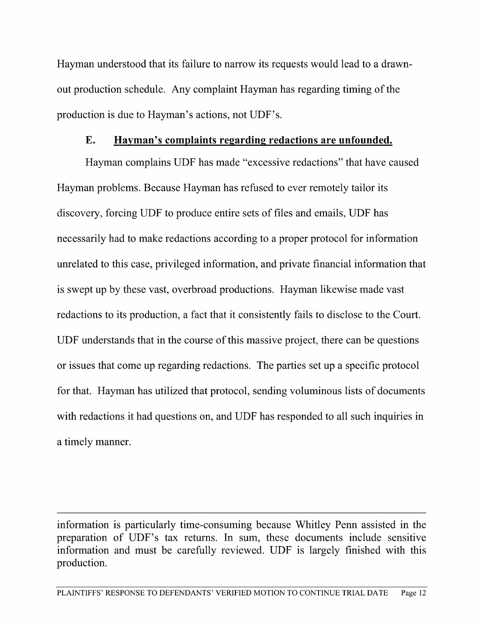Hayman understood that its failure to narrow its requests would lead to a drawnout production schedule. Any complaint Hayman has regarding timing of the production is due to Hayman's actions, not UDF's.

#### E. Haxman's complaints regarding redactions are unfounded.

Hayman complains UDF has made "excessive redactions" that have caused Hayman problems. Because Hayman has refused to ever remotely tailor its discovery, forcing UDF to produce entire sets of files and emails, UDF has necessarily had to make redactions according to a proper protocol for information unrelated to this case, privileged information, and private financial information that is swept up by these vast, overbroad productions. Hayman likewise made vast redactions to its production, a fact that it consistently fails to disclose to the Court. UDF understands that in the course of this massive project, there can be questions or issues that come up regarding redactions. The parties set up a specific protocol for that. Hayman has utilized that protocol, sending voluminous lists of documents with redactions it had questions on, and UDF has responded to all such inquiries in a timely manner.

information is particularly time-consuming because Whitley Penn assisted in the preparation of UDF's tax returns. In sum, these documents include sensitive information and must be carefully reviewed. UDF is largely finished with this production.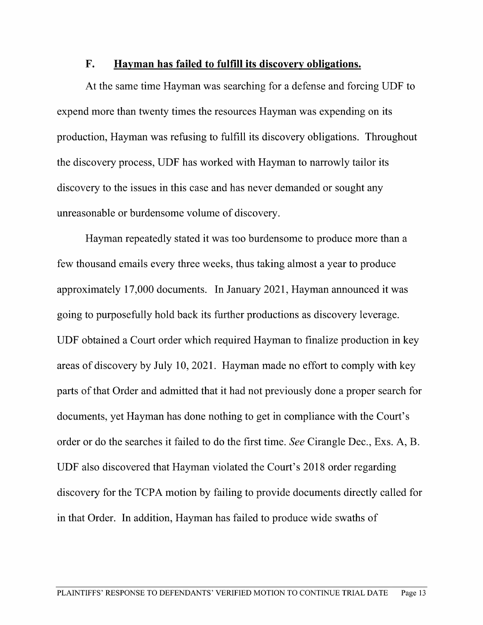#### F. Hayman has failed to fulfill its discovery obligations.

At the same time Hayman was searching for a defense and forcing UDF to expend more than twenty times the resources Hayman was expending on its production, Hayman was refusing to fulfill its discovery obligations. Throughout the discovery process, UDF has worked with Hayman to narrowly tailor its discovery to the issues in this case and has never demanded or sought any unreasonable or burdensome volume of discovery.

Hayman repeatedly stated it was too burdensome to produce more than few thousand emails every three weeks, thus taking almost a year to produce approximately 17,000 documents. In January 2021, Hayman announced it was going to purposefully hold back its further productions as discovery leverage. UDF obtained a Court order which required Hayman to finalize production in key areas of discovery by July 10, 2021. Hayman made no effort to comply with key parts of that Order and admitted that it had not previously done a proper search for documents, yet Hayman has done nothing to get in compliance with the Court's order or do the searches it failed to do the first time. See Cirangle Dec., Exs. A, B. UDF also discovered that Hayman violated the Court's 2018 order regarding discovery for the TCPA motion by failing to provide documents directly called for in that Order. In addition, Hayman has failed to produce wide swaths of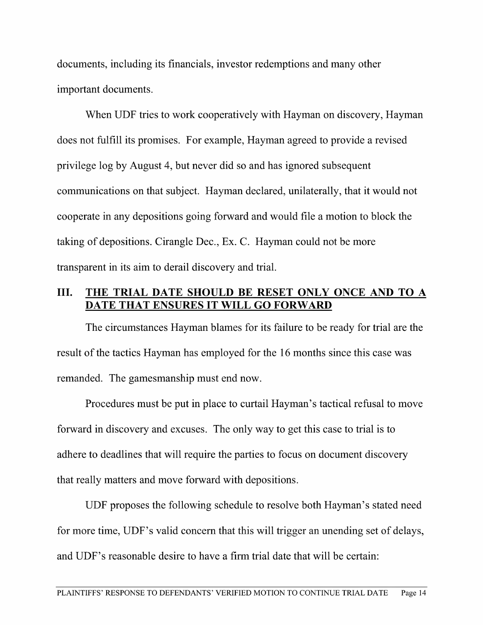documents, including its financials, investor redemptions and many other important documents.

When UDF tries to work cooperatively with Hayman on discovery, Hayman does not fulfill its promises. For example, Hayman agreed to provide a revised privilege log by August 4, but never did so and has ignored subsequent communications on that subject. Hayman declared, unilaterally, that it would not cooperate in any depositions going forward and would file a motion to block the taking of depositions. Cirangle Dec., EX. C. Hayman could not be more transparent in its aim to derail discovery and trial.

### III. THE TRIAL DATE SHOULD BE RESET ONLY ONCE AND TO A DATE THAT ENSURES IT WILL GO FORWARD

The circumstances Hayman blames for its failure to be ready for trial are the result of the tactics Hayman has employed for the <sup>16</sup> months since this case was remanded. The gamesmanship must end now.

Procedures must be put in place to curtail Hayman's tactical refusal to move forward in discovery and excuses. The only way to get this case to trial is to adhere to deadlines that Will require the parties to focus on document discovery that really matters and move forward with depositions.

UDF proposes the following schedule to resolve both Hayman's stated need for more time, UDF's valid concern that this will trigger an unending set of delays, and UDF's reasonable desire to have a firm trial date that will be certain: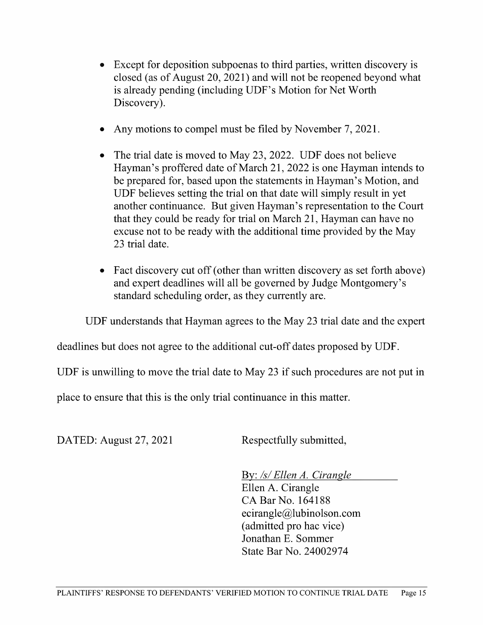- Except for deposition subpoenas to third parties, written discovery is closed (as of August 20, 2021) and Will not be reopened beyond what is already pending (including UDF's Motion for Net Worth Discovery).
- Any motions to compel must be filed by November 7, 2021.
- The trial date is moved to May 23, 2022. UDF does not believe Hayman's proffered date of March 21, 2022 is one Hayman intends to be prepared for, based upon the statements in Hayman's Motion, and UDF believes setting the trial on that date will simply result in yet another continuance. But given Hayman's representation to the Court that they could be ready for trial on March 21, Hayman can have no excuse not to be ready With the additional time provided by the May 23 trial date.
- Fact discovery cut off (other than written discovery as set forth above)  $\bullet$ and expert deadlines will all be governed by Judge Montgomery's standard scheduling order, as they currently are.

UDF understands that Hayman agrees to the May 23 trial date and the expert

deadlines but does not agree to the additional cut-off dates proposed by UDF.

UDF is unwilling to move the trial date to May <sup>23</sup> if such procedures are not put in

place to ensure that this is the only trial continuance in this matter.

DATED: August 27, 2021 Respectfully submitted,

By: /s/ Ellen A. Cirangle<br>Ellen A. Cirangle CA Bar No. 164188 ecirangle@lubinolson.com (admitted pro hac vice) Jonathan E. Sommer State Bar No. 24002974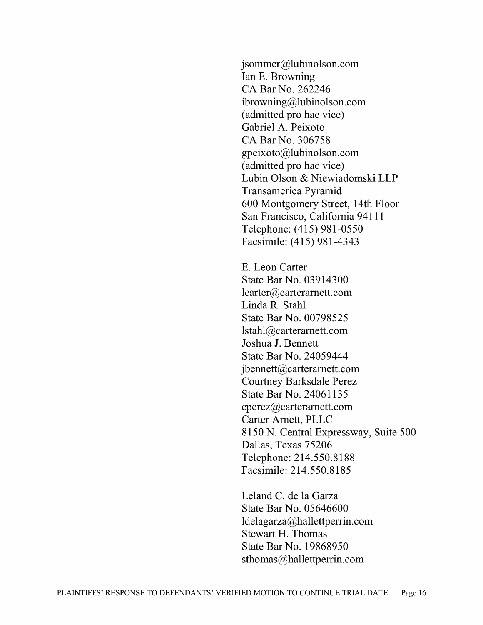jsommer@lubinolson.com<br>Ian E. Browning CA Bar No. 262246 ibrowning@lubinolson.com (admitted pro hac Vice) Gabriel A. Peixoto CA Bar N0. 306758 gpeixoto@lubinolson.com (admitted pro hac Vice) Lubin Olson & Niewiadomski LLP Transamerica Pyramid 600 Montgomery Street, 14th Floor San Francisco, California 94111 Telephone: (415) 981-0550 Facsimile: (415) 981-4343

E. Leon Carter State Bar No. 03914300 lcarter@carteramett.com Linda R. Stahl State Bar No. 00798525 lstahl@carteramett.com Joshua J. Bennett State Bar No. 24059444 jbennett@carterarnett.com Courtney Barksdale Perez State Bar No. 24061135 cperez@carterarnett.com Carter Amett, PLLC 8150 N. Central Expressway, Suite 500 Dallas, Texas 75206 Telephone: 214.550.8188 Facsimile: 214.550.8185

Leland C. de la Garza State Bar No. 05646600 ldelagarza@hallettperrin.com Stewart H. Thomas State Bar No. 19868950 sthomas@hallettperrin.com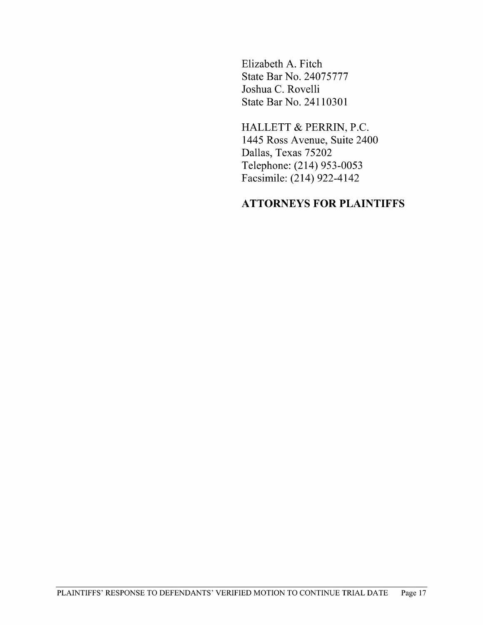Elizabeth A. Fitch State Bar No. 24075777 Joshua C. Rovelli State Bar No. 24110301

HALLETT & PERRIN, P.C. 1445 Ross Avenue, Suite 2400 Dallas, Texas 75202 Telephone: (214) 953—0053 Facsimile: (214) 922-4142

#### ATTORNEYS FOR PLAINTIFFS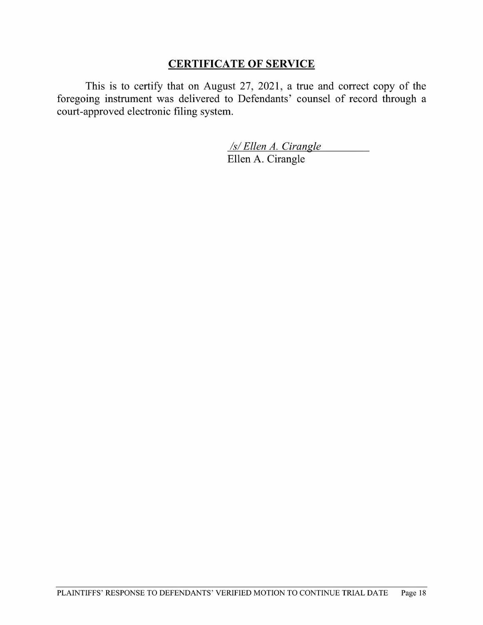### CERTIFICATE OF SERVICE

This is to certify that on August  $27$ ,  $2021$ , a true and correct copy of the foregoing instrument was delivered to Defendants' counsel of record through court-approved electronic filing system.

> /s/Ellen A. Cirangle Ellen A. Cirangle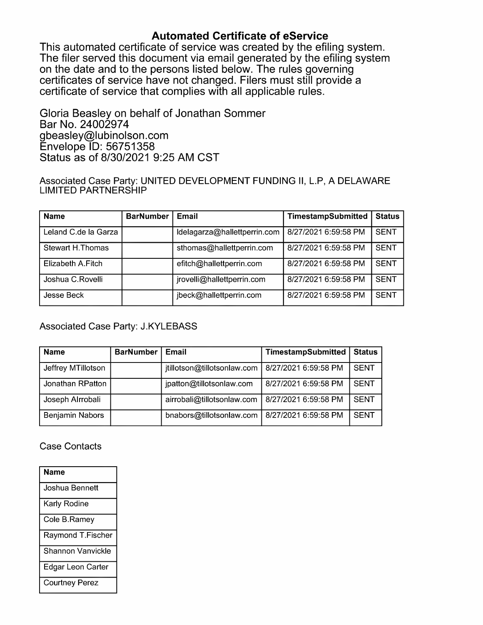Automated Certificate of eService<br>This automated certificate of service was created by the efiling system. The filer served this document via email generated by the efiling system. on the date and to the persons listed below. The rules governing certificates of service have not changed. Filers must still provide a certificate of service that complies with all applicable rules.

Gloria Beasley on behalf of Jonathan Sommer Bar No. <sup>24002974</sup> gbeasley@lubinolson.com Envelope ID: 56751358 Status as of 8/30/2021 9:25 AM CST

Associated Case Party: UNITED DEVELOPMENT FUNDING II, L.P, A DELAWARE LIMITED PARTNERSHIP

| <b>Name</b>             | <b>BarNumber</b> | <b>Email</b>                 | TimestampSubmitted   | <b>Status</b> |
|-------------------------|------------------|------------------------------|----------------------|---------------|
| Leland C.de la Garza    |                  | Idelagarza@hallettperrin.com | 8/27/2021 6:59:58 PM | <b>SENT</b>   |
| <b>Stewart H.Thomas</b> |                  | sthomas@hallettperrin.com    | 8/27/2021 6:59:58 PM | <b>SENT</b>   |
| Elizabeth A.Fitch       |                  | efitch@hallettperrin.com     | 8/27/2021 6:59:58 PM | <b>SENT</b>   |
| Joshua C.Rovelli        |                  | jrovelli@hallettperrin.com   | 8/27/2021 6:59:58 PM | <b>SENT</b>   |
| Jesse Beck              |                  | jbeck@hallettperrin.com      | 8/27/2021 6:59:58 PM | <b>SENT</b>   |

Associated Case Party: J.KYLEBASS

| <b>Name</b>        | <b>BarNumber</b> | Email                       | TimestampSubmitted   | <b>Status</b> |
|--------------------|------------------|-----------------------------|----------------------|---------------|
| Jeffrey MTillotson |                  | jtillotson@tillotsonlaw.com | 8/27/2021 6:59:58 PM | <b>SENT</b>   |
| Jonathan RPatton   |                  | jpatton@tillotsonlaw.com    | 8/27/2021 6:59:58 PM | <b>SENT</b>   |
| Joseph Alrrobali   |                  | airrobali@tillotsonlaw.com  | 8/27/2021 6:59:58 PM | <b>SENT</b>   |
| Benjamin Nabors    |                  | bnabors@tillotsonlaw.com    | 8/27/2021 6:59:58 PM | <b>SENT</b>   |

#### Case Contacts

| Name                  |  |
|-----------------------|--|
| Joshua Bennett        |  |
| Karly Rodine          |  |
| Cole B.Ramey          |  |
| Raymond T.Fischer     |  |
| Shannon Vanvickle     |  |
| Edgar Leon Carter     |  |
| <b>Courtney Perez</b> |  |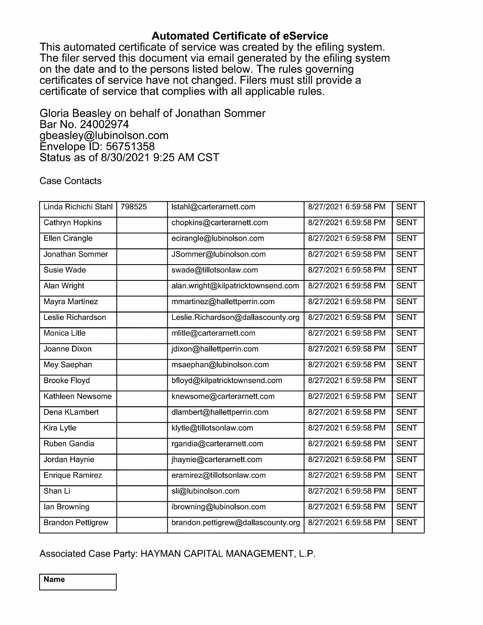**Automated Certificate of eService**<br>This automated certificate of service was created by the efiling system. The filer served this document via email generated by the efiling system. on the date and to the persons listed below. The rules governing certificates of service have not changed. Filers must still provide a certificate of service that complies with all applicable rules.

Gloria Beasley on behalf of Jonathan Sommer Bar No. <sup>24002974</sup> gbeasley@lubinolson.com Envelope ID: 56751358 Status as of 8/30/2021 9:25 AM CST

#### Case Contacts

| Linda Richichi Stahl     | 798525 | Istahl@carterarnett.com            | 8/27/2021 6:59:58 PM | <b>SENT</b> |
|--------------------------|--------|------------------------------------|----------------------|-------------|
| Cathryn Hopkins          |        | chopkins@carterarnett.com          | 8/27/2021 6:59:58 PM | <b>SENT</b> |
| <b>Ellen Cirangle</b>    |        | ecirangle@lubinolson.com           | 8/27/2021 6:59:58 PM | <b>SENT</b> |
| Jonathan Sommer          |        | JSommer@lubinolson.com             | 8/27/2021 6:59:58 PM | <b>SENT</b> |
| Susie Wade               |        | swade@tillotsonlaw.com             | 8/27/2021 6:59:58 PM | <b>SENT</b> |
| Alan Wright              |        | alan.wright@kilpatricktownsend.com | 8/27/2021 6:59:58 PM | <b>SENT</b> |
| Mayra Martinez           |        | mmartinez@hallettperrin.com        | 8/27/2021 6:59:58 PM | <b>SENT</b> |
| Leslie Richardson        |        | Leslie.Richardson@dallascounty.org | 8/27/2021 6:59:58 PM | <b>SENT</b> |
| <b>Monica Litle</b>      |        | mlitle@carterarnett.com            | 8/27/2021 6:59:58 PM | <b>SENT</b> |
| Joanne Dixon             |        | jdixon@hallettperrin.com           | 8/27/2021 6:59:58 PM | <b>SENT</b> |
| Mey Saephan              |        | msaephan@lubinolson.com            | 8/27/2021 6:59:58 PM | <b>SENT</b> |
| <b>Brooke Floyd</b>      |        | bfloyd@kilpatricktownsend.com      | 8/27/2021 6:59:58 PM | <b>SENT</b> |
| Kathleen Newsome         |        | knewsome@carterarnett.com          | 8/27/2021 6:59:58 PM | <b>SENT</b> |
| Dena KLambert            |        | dlambert@hallettperrin.com         | 8/27/2021 6:59:58 PM | <b>SENT</b> |
| Kira Lytle               |        | klytle@tillotsonlaw.com            | 8/27/2021 6:59:58 PM | <b>SENT</b> |
| Ruben Gandia             |        | rgandia@carterarnett.com           | 8/27/2021 6:59:58 PM | <b>SENT</b> |
| Jordan Haynie            |        | jhaynie@carterarnett.com           | 8/27/2021 6:59:58 PM | <b>SENT</b> |
| <b>Enrique Ramirez</b>   |        | eramirez@tillotsonlaw.com          | 8/27/2021 6:59:58 PM | <b>SENT</b> |
| Shan Li                  |        | sli@lubinolson.com                 | 8/27/2021 6:59:58 PM | <b>SENT</b> |
| lan Browning             |        | ibrowning@lubinolson.com           | 8/27/2021 6:59:58 PM | <b>SENT</b> |
| <b>Brandon Pettigrew</b> |        | brandon.pettigrew@dallascounty.org | 8/27/2021 6:59:58 PM | <b>SENT</b> |

Associated Case Party: HAYMAN CAPITAL MANAGEMENT, L.P.

Name